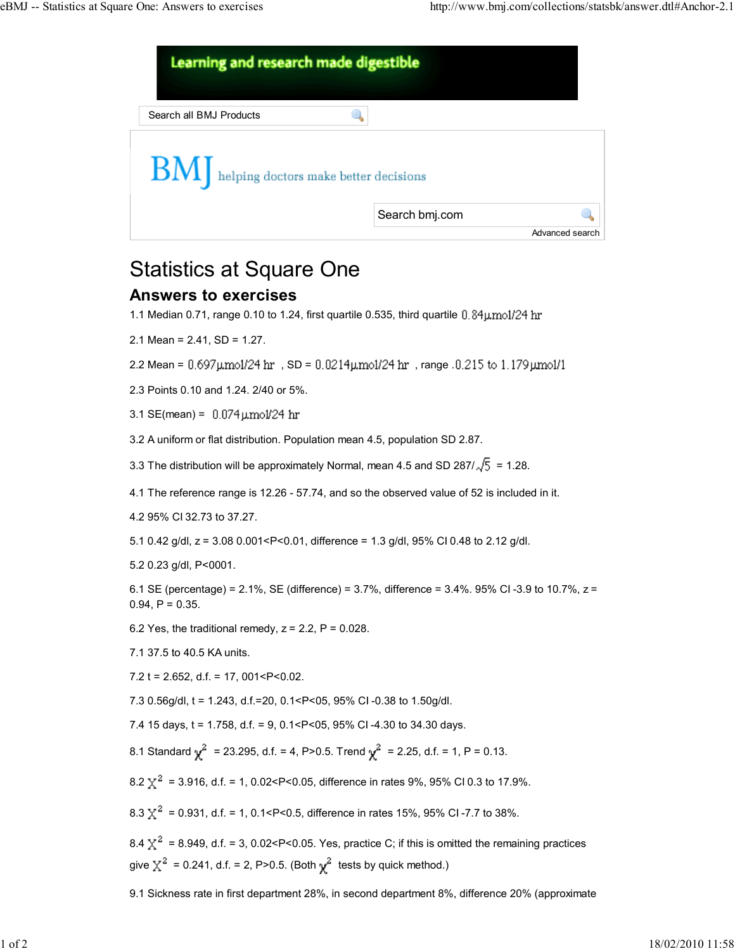

## Statistics at Square One

## Answers to exercises

1.1 Median 0.71, range 0.10 to 1.24, first quartile 0.535, third quartile  $0.84 \mu \text{mol}/24 \text{ hr}$ 

2.1 Mean = 2.41, SD = 1.27.

2.2 Mean =  $0.697$ umol/24 hr, SD =  $0.0214$ umol/24 hr, range  $.0.215$  to  $1.179$ umol/1

2.3 Points 0.10 and 1.24. 2/40 or 5%.

3.1 SE(mean) =  $0.074 \,\mu\text{mol}/24 \,\text{hr}$ 

3.2 A uniform or flat distribution. Population mean 4.5, population SD 2.87.

3.3 The distribution will be approximately Normal, mean 4.5 and SD 287/ $\sqrt{5}$  = 1.28.

4.1 The reference range is 12.26 - 57.74, and so the observed value of 52 is included in it.

4.2 95% CI 32.73 to 37.27.

5.1 0.42 g/dl, z = 3.08 0.001<P<0.01, difference = 1.3 g/dl, 95% CI 0.48 to 2.12 g/dl.

5.2 0.23 g/dl, P<0001.

6.1 SE (percentage) =  $2.1\%$ , SE (difference) =  $3.7\%$ , difference =  $3.4\%$ . 95% CI-3.9 to 10.7%,  $z =$  $0.94, P = 0.35.$ 

6.2 Yes, the traditional remedy,  $z = 2.2$ ,  $P = 0.028$ .

7.1 37.5 to 40.5 KA units.

7.2 t = 2.652, d.f. = 17, 001 <  $P$  < 0.02.

7.3 0.56g/dl, t = 1.243, d.f.=20, 0.1<P<05, 95% CI -0.38 to 1.50g/dl.

7.4 15 days, t = 1.758, d.f. = 9, 0.1<P<05, 95% CI -4.30 to 34.30 days.

8.1 Standard  $\chi^2$  = 23.295, d.f. = 4, P>0.5. Trend  $\chi^2$  = 2.25, d.f. = 1, P = 0.13.

8.2  $\chi^2$  = 3.916, d.f. = 1, 0.02<P<0.05, difference in rates 9%, 95% CI 0.3 to 17.9%.

8.3  $\chi^2$  = 0.931, d.f. = 1, 0.1 < P < 0.5, difference in rates 15%, 95% CI - 7.7 to 38%.

8.4  $\chi^2$  = 8.949, d.f. = 3, 0.02<P<0.05. Yes, practice C; if this is omitted the remaining practices give  $\chi^2$  = 0.241, d.f. = 2, P>0.5. (Both  $\chi^2$  tests by quick method.)

9.1 Sickness rate in first department 28%, in second department 8%, difference 20% (approximate